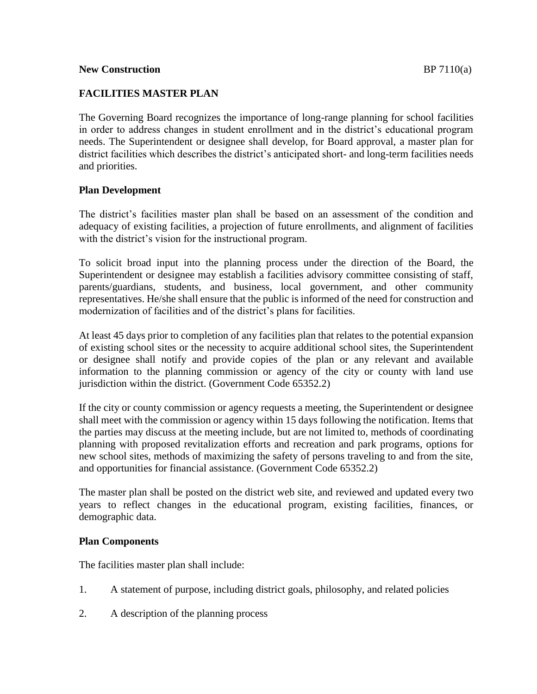## **FACILITIES MASTER PLAN**

The Governing Board recognizes the importance of long-range planning for school facilities in order to address changes in student enrollment and in the district's educational program needs. The Superintendent or designee shall develop, for Board approval, a master plan for district facilities which describes the district's anticipated short- and long-term facilities needs and priorities.

### **Plan Development**

The district's facilities master plan shall be based on an assessment of the condition and adequacy of existing facilities, a projection of future enrollments, and alignment of facilities with the district's vision for the instructional program.

To solicit broad input into the planning process under the direction of the Board, the Superintendent or designee may establish a facilities advisory committee consisting of staff, parents/guardians, students, and business, local government, and other community representatives. He/she shall ensure that the public is informed of the need for construction and modernization of facilities and of the district's plans for facilities.

At least 45 days prior to completion of any facilities plan that relates to the potential expansion of existing school sites or the necessity to acquire additional school sites, the Superintendent or designee shall notify and provide copies of the plan or any relevant and available information to the planning commission or agency of the city or county with land use jurisdiction within the district. (Government Code 65352.2)

If the city or county commission or agency requests a meeting, the Superintendent or designee shall meet with the commission or agency within 15 days following the notification. Items that the parties may discuss at the meeting include, but are not limited to, methods of coordinating planning with proposed revitalization efforts and recreation and park programs, options for new school sites, methods of maximizing the safety of persons traveling to and from the site, and opportunities for financial assistance. (Government Code 65352.2)

The master plan shall be posted on the district web site, and reviewed and updated every two years to reflect changes in the educational program, existing facilities, finances, or demographic data.

#### **Plan Components**

The facilities master plan shall include:

- 1. A statement of purpose, including district goals, philosophy, and related policies
- 2. A description of the planning process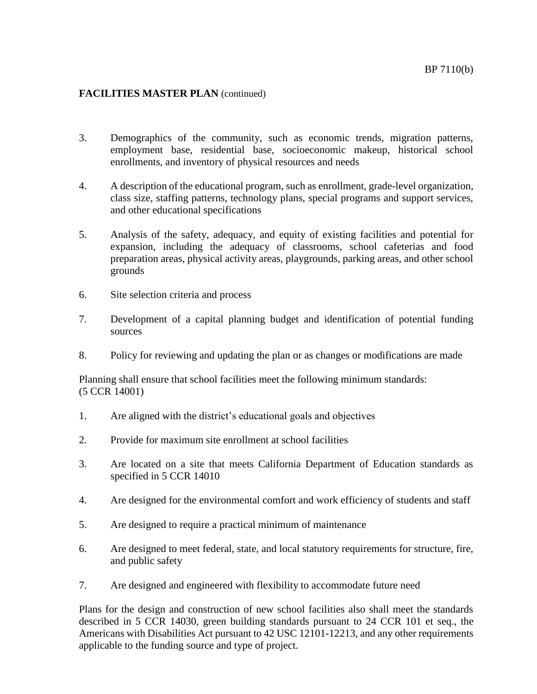#### **FACILITIES MASTER PLAN** (continued)

- 3. Demographics of the community, such as economic trends, migration patterns, employment base, residential base, socioeconomic makeup, historical school enrollments, and inventory of physical resources and needs
- 4. A description of the educational program, such as enrollment, grade-level organization, class size, staffing patterns, technology plans, special programs and support services, and other educational specifications
- 5. Analysis of the safety, adequacy, and equity of existing facilities and potential for expansion, including the adequacy of classrooms, school cafeterias and food preparation areas, physical activity areas, playgrounds, parking areas, and other school grounds
- 6. Site selection criteria and process
- 7. Development of a capital planning budget and identification of potential funding sources
- 8. Policy for reviewing and updating the plan or as changes or modifications are made

Planning shall ensure that school facilities meet the following minimum standards: (5 CCR 14001)

- 1. Are aligned with the district's educational goals and objectives
- 2. Provide for maximum site enrollment at school facilities
- 3. Are located on a site that meets California Department of Education standards as specified in 5 CCR 14010
- 4. Are designed for the environmental comfort and work efficiency of students and staff
- 5. Are designed to require a practical minimum of maintenance
- 6. Are designed to meet federal, state, and local statutory requirements for structure, fire, and public safety
- 7. Are designed and engineered with flexibility to accommodate future need

Plans for the design and construction of new school facilities also shall meet the standards described in 5 CCR 14030, green building standards pursuant to 24 CCR 101 et seq., the Americans with Disabilities Act pursuant to 42 USC 12101-12213, and any other requirements applicable to the funding source and type of project.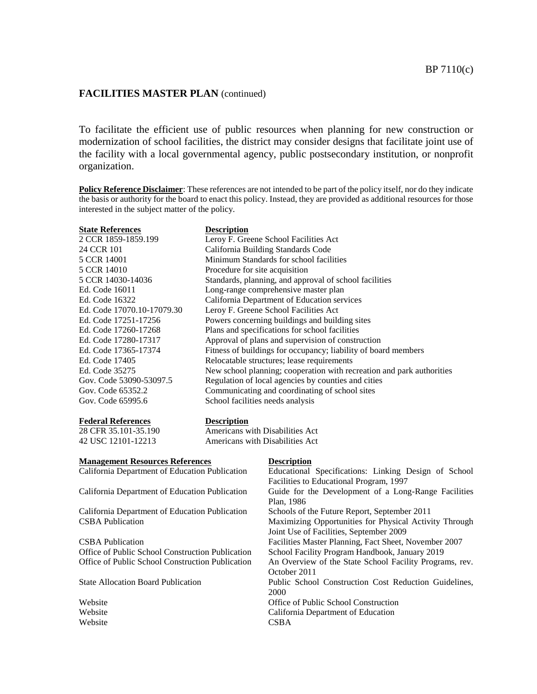#### **FACILITIES MASTER PLAN** (continued)

To facilitate the efficient use of public resources when planning for new construction or modernization of school facilities, the district may consider designs that facilitate joint use of the facility with a local governmental agency, public postsecondary institution, or nonprofit organization.

**Policy Reference Disclaimer**: These references are not intended to be part of the policy itself, nor do they indicate the basis or authority for the board to enact this policy. Instead, they are provided as additional resources for those interested in the subject matter of the policy.

| <b>State References</b>    | <b>Description</b>                                                    |
|----------------------------|-----------------------------------------------------------------------|
| 2 CCR 1859-1859.199        | Leroy F. Greene School Facilities Act                                 |
| 24 CCR 101                 | California Building Standards Code                                    |
| 5 CCR 14001                | Minimum Standards for school facilities                               |
| 5 CCR 14010                | Procedure for site acquisition                                        |
| 5 CCR 14030-14036          | Standards, planning, and approval of school facilities                |
| Ed. Code 16011             | Long-range comprehensive master plan                                  |
| Ed. Code 16322             | California Department of Education services                           |
| Ed. Code 17070.10-17079.30 | Leroy F. Greene School Facilities Act                                 |
| Ed. Code 17251-17256       | Powers concerning buildings and building sites                        |
| Ed. Code 17260-17268       | Plans and specifications for school facilities                        |
| Ed. Code 17280-17317       | Approval of plans and supervision of construction                     |
| Ed. Code 17365-17374       | Fitness of buildings for occupancy; liability of board members        |
| Ed. Code 17405             | Relocatable structures; lease requirements                            |
| Ed. Code 35275             | New school planning; cooperation with recreation and park authorities |
| Gov. Code 53090-53097.5    | Regulation of local agencies by counties and cities                   |
| Gov. Code 65352.2          | Communicating and coordinating of school sites                        |
| Gov. Code 65995.6          | School facilities needs analysis                                      |
| <b>Federal References</b>  | <b>Description</b>                                                    |

| - - - - - - - - - - - - - - - - - | $         -$                    |
|-----------------------------------|---------------------------------|
| 28 CFR 35.101-35.190              | Americans with Disabilities Act |
| 42 USC 12101-12213                | Americans with Disabilities Act |

| <b>Management Resources References</b>           | <b>Description</b>                                      |
|--------------------------------------------------|---------------------------------------------------------|
| California Department of Education Publication   | Educational Specifications: Linking Design of School    |
|                                                  | Facilities to Educational Program, 1997                 |
| California Department of Education Publication   | Guide for the Development of a Long-Range Facilities    |
|                                                  | Plan, 1986                                              |
| California Department of Education Publication   | Schools of the Future Report, September 2011            |
| <b>CSBA</b> Publication                          | Maximizing Opportunities for Physical Activity Through  |
|                                                  | Joint Use of Facilities, September 2009                 |
| <b>CSBA</b> Publication                          | Facilities Master Planning, Fact Sheet, November 2007   |
| Office of Public School Construction Publication | School Facility Program Handbook, January 2019          |
| Office of Public School Construction Publication | An Overview of the State School Facility Programs, rev. |
|                                                  | October 2011                                            |
| <b>State Allocation Board Publication</b>        | Public School Construction Cost Reduction Guidelines,   |
|                                                  | 2000                                                    |
| Website                                          | Office of Public School Construction                    |
| Website                                          | California Department of Education                      |
| Website                                          | <b>CSBA</b>                                             |
|                                                  |                                                         |